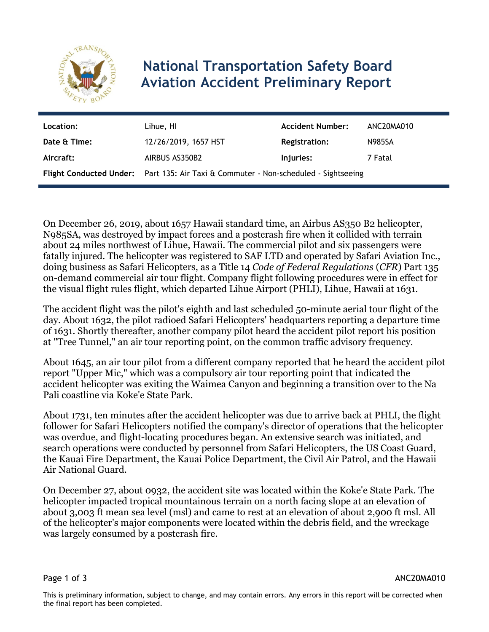

## **National Transportation Safety Board Aviation Accident Preliminary Report**

| Location:    | Lihue, HI                                                                           | <b>Accident Number:</b> | ANC20MA010    |
|--------------|-------------------------------------------------------------------------------------|-------------------------|---------------|
| Date & Time: | 12/26/2019, 1657 HST                                                                | <b>Registration:</b>    | <b>N985SA</b> |
| Aircraft:    | AIRBUS AS350B2                                                                      | Injuries:               | 7 Fatal       |
|              | Flight Conducted Under: Part 135: Air Taxi & Commuter - Non-scheduled - Sightseeing |                         |               |

On December 26, 2019, about 1657 Hawaii standard time, an Airbus AS350 B2 helicopter, N985SA, was destroyed by impact forces and a postcrash fire when it collided with terrain about 24 miles northwest of Lihue, Hawaii. The commercial pilot and six passengers were fatally injured. The helicopter was registered to SAF LTD and operated by Safari Aviation Inc., doing business as Safari Helicopters, as a Title 14 *Code of Federal Regulations* (*CFR*) Part 135 on-demand commercial air tour flight. Company flight following procedures were in effect for the visual flight rules flight, which departed Lihue Airport (PHLI), Lihue, Hawaii at 1631.

The accident flight was the pilot's eighth and last scheduled 50-minute aerial tour flight of the day. About 1632, the pilot radioed Safari Helicopters' headquarters reporting a departure time of 1631. Shortly thereafter, another company pilot heard the accident pilot report his position at "Tree Tunnel," an air tour reporting point, on the common traffic advisory frequency.

About 1645, an air tour pilot from a different company reported that he heard the accident pilot report "Upper Mic," which was a compulsory air tour reporting point that indicated the accident helicopter was exiting the Waimea Canyon and beginning a transition over to the Na Pali coastline via Koke'e State Park.

About 1731, ten minutes after the accident helicopter was due to arrive back at PHLI, the flight follower for Safari Helicopters notified the company's director of operations that the helicopter was overdue, and flight-locating procedures began. An extensive search was initiated, and search operations were conducted by personnel from Safari Helicopters, the US Coast Guard, the Kauai Fire Department, the Kauai Police Department, the Civil Air Patrol, and the Hawaii Air National Guard.

On December 27, about 0932, the accident site was located within the Koke'e State Park. The helicopter impacted tropical mountainous terrain on a north facing slope at an elevation of about 3,003 ft mean sea level (msl) and came to rest at an elevation of about 2,900 ft msl. All of the helicopter's major components were located within the debris field, and the wreckage was largely consumed by a postcrash fire.

Page 1 of 3 ANC20MA010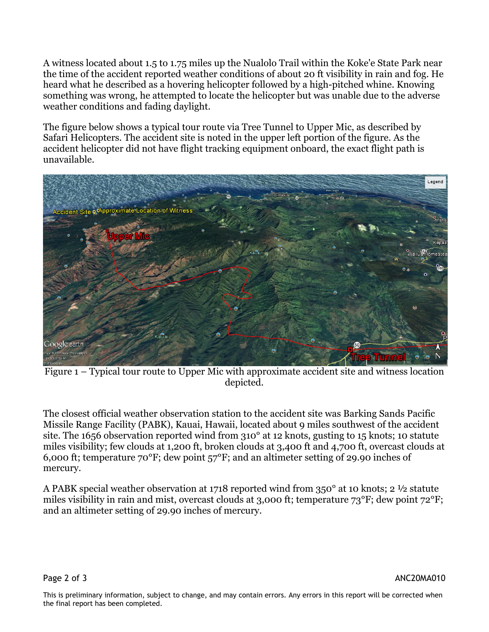A witness located about 1.5 to 1.75 miles up the Nualolo Trail within the Koke'e State Park near the time of the accident reported weather conditions of about 20 ft visibility in rain and fog. He heard what he described as a hovering helicopter followed by a high-pitched whine. Knowing something was wrong, he attempted to locate the helicopter but was unable due to the adverse weather conditions and fading daylight.

The figure below shows a typical tour route via Tree Tunnel to Upper Mic, as described by Safari Helicopters. The accident site is noted in the upper left portion of the figure. As the accident helicopter did not have flight tracking equipment onboard, the exact flight path is unavailable.



Figure 1 – Typical tour route to Upper Mic with approximate accident site and witness location depicted.

The closest official weather observation station to the accident site was Barking Sands Pacific Missile Range Facility (PABK), Kauai, Hawaii, located about 9 miles southwest of the accident site. The 1656 observation reported wind from 310° at 12 knots, gusting to 15 knots; 10 statute miles visibility; few clouds at 1,200 ft, broken clouds at 3,400 ft and 4,700 ft, overcast clouds at 6,000 ft; temperature 70°F; dew point 57°F; and an altimeter setting of 29.90 inches of mercury.

A PABK special weather observation at 1718 reported wind from 350° at 10 knots; 2 ½ statute miles visibility in rain and mist, overcast clouds at 3,000 ft; temperature 73°F; dew point 72°F; and an altimeter setting of 29.90 inches of mercury.